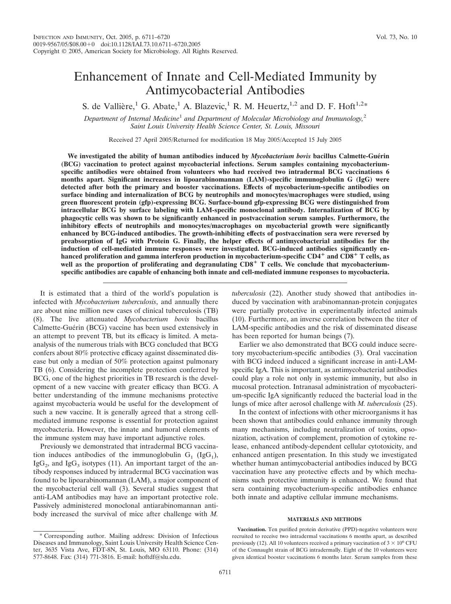# Enhancement of Innate and Cell-Mediated Immunity by Antimycobacterial Antibodies

S. de Vallière,<sup>1</sup> G. Abate,<sup>1</sup> A. Blazevic,<sup>1</sup> R. M. Heuertz,<sup>1,2</sup> and D. F. Hoft<sup>1,2\*</sup>

*Department of Internal Medicine*<sup>1</sup> *and Department of Molecular Microbiology and Immunology,*<sup>2</sup> *Saint Louis University Health Science Center, St. Louis, Missouri*

Received 27 April 2005/Returned for modification 18 May 2005/Accepted 15 July 2005

We investigated the ability of human antibodies induced by *Mycobacterium bovis* bacillus Calmette-Guérin **(BCG) vaccination to protect against mycobacterial infections. Serum samples containing mycobacteriumspecific antibodies were obtained from volunteers who had received two intradermal BCG vaccinations 6 months apart. Significant increases in lipoarabinomannan (LAM)-specific immunoglobulin G (IgG) were detected after both the primary and booster vaccinations. Effects of mycobacterium-specific antibodies on surface binding and internalization of BCG by neutrophils and monocytes/macrophages were studied, using green fluorescent protein (gfp)-expressing BCG. Surface-bound gfp-expressing BCG were distinguished from intracellular BCG by surface labeling with LAM-specific monoclonal antibody. Internalization of BCG by phagocytic cells was shown to be significantly enhanced in postvaccination serum samples. Furthermore, the inhibitory effects of neutrophils and monocytes/macrophages on mycobacterial growth were significantly enhanced by BCG-induced antibodies. The growth-inhibiting effects of postvaccination sera were reversed by preabsorption of IgG with Protein G. Finally, the helper effects of antimycobacterial antibodies for the induction of cell-mediated immune responses were investigated. BCG-induced antibodies significantly enhanced proliferation and gamma interferon production in mycobacterium-specific CD4 and CD8 T cells, as** well as the proportion of proliferating and degranulating CD8<sup>+</sup> T cells. We conclude that mycobacterium**specific antibodies are capable of enhancing both innate and cell-mediated immune responses to mycobacteria.**

It is estimated that a third of the world's population is infected with *Mycobacterium tuberculosis*, and annually there are about nine million new cases of clinical tuberculosis (TB) (8). The live attenuated *Mycobacterium bovis* bacillus Calmette-Guérin (BCG) vaccine has been used extensively in an attempt to prevent TB, but its efficacy is limited. A metaanalysis of the numerous trials with BCG concluded that BCG confers about 80% protective efficacy against disseminated disease but only a median of 50% protection against pulmonary TB (6). Considering the incomplete protection conferred by BCG, one of the highest priorities in TB research is the development of a new vaccine with greater efficacy than BCG. A better understanding of the immune mechanisms protective against mycobacteria would be useful for the development of such a new vaccine. It is generally agreed that a strong cellmediated immune response is essential for protection against mycobacteria. However, the innate and humoral elements of the immune system may have important adjunctive roles.

Previously we demonstrated that intradermal BCG vaccination induces antibodies of the immunoglobulin  $G_1$  (Ig $G_1$ ),  $IgG<sub>2</sub>$ , and IgG<sub>3</sub> isotypes (11). An important target of the antibody responses induced by intradermal BCG vaccination was found to be lipoarabinomannan (LAM), a major component of the mycobacterial cell wall (3). Several studies suggest that anti-LAM antibodies may have an important protective role. Passively administered monoclonal antiarabinomannan antibody increased the survival of mice after challenge with *M.*

\* Corresponding author. Mailing address: Division of Infectious Diseases and Immunology, Saint Louis University Health Science Center, 3635 Vista Ave, FDT-8N, St. Louis, MO 63110. Phone: (314) 577-8648. Fax: (314) 771-3816. E-mail: hoftdf@slu.edu.

*tuberculosis* (22). Another study showed that antibodies induced by vaccination with arabinomannan-protein conjugates were partially protective in experimentally infected animals (10). Furthermore, an inverse correlation between the titer of LAM-specific antibodies and the risk of disseminated disease has been reported for human beings (7).

Earlier we also demonstrated that BCG could induce secretory mycobacterium-specific antibodies (3). Oral vaccination with BCG indeed induced a significant increase in anti-LAMspecific IgA. This is important, as antimycobacterial antibodies could play a role not only in systemic immunity, but also in mucosal protection. Intranasal administration of mycobacterium-specific IgA significantly reduced the bacterial load in the lungs of mice after aerosol challenge with *M. tuberculosis* (25).

In the context of infections with other microorganisms it has been shown that antibodies could enhance immunity through many mechanisms, including neutralization of toxins, opsonization, activation of complement, promotion of cytokine release, enhanced antibody-dependent cellular cytotoxicity, and enhanced antigen presentation. In this study we investigated whether human antimycobacterial antibodies induced by BCG vaccination have any protective effects and by which mechanisms such protective immunity is enhanced. We found that sera containing mycobacterium-specific antibodies enhance both innate and adaptive cellular immune mechanisms.

# **MATERIALS AND METHODS**

**Vaccination.** Ten purified protein derivative (PPD)-negative volunteers were recruited to receive two intradermal vaccinations 6 months apart, as described previously (12). All 10 volunteers received a primary vaccination of  $3 \times 10^6$  CFU of the Connaught strain of BCG intradermally. Eight of the 10 volunteers were given identical booster vaccinations 6 months later. Serum samples from these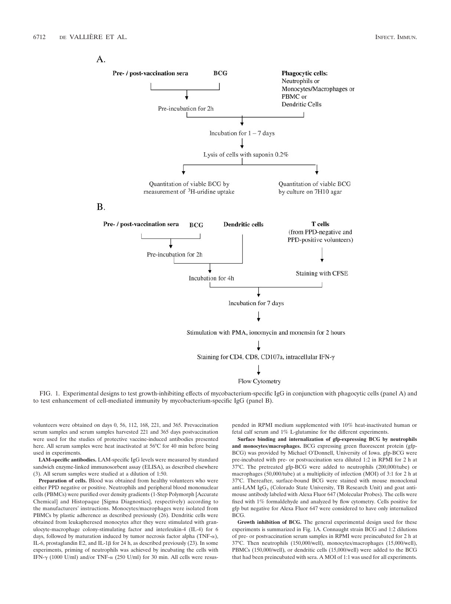A.



FIG. 1. Experimental designs to test growth-inhibiting effects of mycobacterium-specific IgG in conjunction with phagocytic cells (panel A) and to test enhancement of cell-mediated immunity by mycobacterium-specific IgG (panel B).

volunteers were obtained on days 0, 56, 112, 168, 221, and 365. Prevaccination serum samples and serum samples harvested 221 and 365 days postvaccination were used for the studies of protective vaccine-induced antibodies presented here. All serum samples were heat inactivated at 56°C for 40 min before being used in experiments.

**LAM-specific antibodies.** LAM-specific IgG levels were measured by standard sandwich enzyme-linked immunosorbent assay (ELISA), as described elsewhere (3). All serum samples were studied at a dilution of 1:50.

**Preparation of cells.** Blood was obtained from healthy volunteers who were either PPD negative or positive. Neutrophils and peripheral blood mononuclear cells (PBMCs) were purified over density gradients (1-Step Polymorph [Accurate Chemical] and Histopaque [Sigma Diagnostics], respectively) according to the manufacturers' instructions. Monocytes/macrophages were isolated from PBMCs by plastic adherence as described previously (26). Dendritic cells were obtained from leukapheresed monocytes after they were stimulated with granulocyte-macrophage colony-stimulating factor and interleukin-4 (IL-4) for 6 days, followed by maturation induced by tumor necrosis factor alpha (TNF- $\alpha$ ), IL-6, prostaglandin E2, and IL-1 $\beta$  for 24 h, as described previously (23). In some experiments, priming of neutrophils was achieved by incubating the cells with IFN- $\gamma$  (1000 U/ml) and/or TNF- $\alpha$  (250 U/ml) for 30 min. All cells were resuspended in RPMI medium supplemented with 10% heat-inactivated human or fetal calf serum and 1% L-glutamine for the different experiments.

**Surface binding and internalization of gfp-expressing BCG by neutrophils and monocytes/macrophages.** BCG expressing green fluorescent protein (gfp-BCG) was provided by Michael O'Donnell, University of Iowa. gfp-BCG were pre-incubated with pre- or postvaccination sera diluted 1:2 in RPMI for 2 h at 37°C. The pretreated gfp-BCG were added to neutrophils (200,000/tube) or macrophages (50,000/tube) at a multiplicity of infection (MOI) of 3:1 for 2 h at 37°C. Thereafter, surface-bound BCG were stained with mouse monoclonal anti-LAM IgG<sub>3</sub> (Colorado State University, TB Research Unit) and goat antimouse antibody labeled with Alexa Fluor 647 (Molecular Probes). The cells were fixed with 1% formaldehyde and analyzed by flow cytometry. Cells positive for gfp but negative for Alexa Fluor 647 were considered to have only internalized BCG.

**Growth inhibition of BCG.** The general experimental design used for these experiments is summarized in Fig. 1A. Connaught strain BCG and 1:2 dilutions of pre- or postvaccination serum samples in RPMI were preincubated for 2 h at 37°C. Then neutrophils (150,000/well), monocytes/macrophages (15,000/well), PBMCs (150,000/well), or dendritic cells (15,000/well) were added to the BCG that had been preincubated with sera. A MOI of 1:1 was used for all experiments.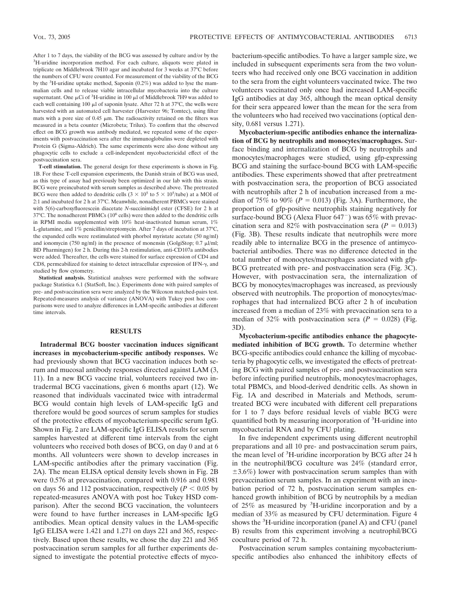After 1 to 7 days, the viability of the BCG was assessed by culture and/or by the <sup>3</sup>H-uridine incorporation method. For each culture, aliquots were plated in triplicate on Middlebrook 7H10 agar and incubated for 3 weeks at 37°C before the numbers of CFU were counted. For measurement of the viability of the BCG by the <sup>3</sup>H-uridine uptake method, Saponin (0.2%) was added to lyse the mammalian cells and to release viable intracellular mycobacteria into the culture supernatant. One  $\mu$ Ci of <sup>3</sup>H-uridine in 100  $\mu$ l of Middlebrook 7H9 was added to each well containing 100  $\mu$ l of saponin lysate. After 72 h at 37°C, the wells were harvested with an automated cell harvester (Harvester 96; Tomtec), using filter mats with a pore size of  $0.45 \mu m$ . The radioactivity retained on the filters was measured in a beta counter (Microbeta; Trilux). To confirm that the observed effect on BCG growth was antibody mediated, we repeated some of the experiments with postvaccination sera after the immunoglobulins were depleted with Protein G (Sigma-Aldrich). The same experiments were also done without any phagocytic cells to exclude a cell-independent mycobactericidal effect of the postvaccination sera.

**T-cell stimulation.** The general design for these experiments is shown in Fig. 1B. For these T-cell expansion experiments, the Danish strain of BCG was used, as this type of assay had previously been optimized in our lab with this strain. BCG were preincubated with serum samples as described above. The pretreated BCG were then added to dendritic cells  $(3 \times 10^5$  to  $5 \times 10^5$ /tube) at a MOI of 2:1 and incubated for 2 h at 37°C. Meanwhile, nonadherent PBMCs were stained with 5(6)-carboxyfluorescein diacetate *N*-succinimidyl ester (CFSE) for 2 h at 37°C. The nonadherent PBMCs (106 cells) were then added to the dendritic cells in RPMI media supplemented with  $10\%$  heat-inactivated human serum,  $1\%$ L-glutamine, and 1% penicillin/streptomycin. After 7 days of incubation at 37°C, the expanded cells were restimulated with phorbol myristate acetate (50 ng/ml) and ionomycin (750 ng/ml) in the presence of monensin (GolgiStop;  $0.7 \mu$ l/ml; BD Pharmingen) for 2 h. During this 2-h restimulation, anti-CD107a antibodies were added. Thereafter, the cells were stained for surface expression of CD4 and CD8, permeabilized for staining to detect intracellular expression of IFN- $\gamma$ , and studied by flow cytometry.

**Statistical analysis.** Statistical analyses were performed with the software package Statistica 6.1 (StatSoft, Inc.). Experiments done with paired samples of pre- and postvaccination sera were analyzed by the Wilcoxon matched-pairs test. Repeated-measures analysis of variance (ANOVA) with Tukey post hoc comparisons were used to analyze differences in LAM-specific antibodies at different time intervals.

### **RESULTS**

**Intradermal BCG booster vaccination induces significant increases in mycobacterium-specific antibody responses.** We had previously shown that BCG vaccination induces both serum and mucosal antibody responses directed against LAM (3, 11). In a new BCG vaccine trial, volunteers received two intradermal BCG vaccinations, given 6 months apart (12). We reasoned that individuals vaccinated twice with intradermal BCG would contain high levels of LAM-specific IgG and therefore would be good sources of serum samples for studies of the protective effects of mycobacterium-specific serum IgG. Shown in Fig. 2 are LAM-specific IgG ELISA results for serum samples harvested at different time intervals from the eight volunteers who received both doses of BCG, on day 0 and at 6 months. All volunteers were shown to develop increases in LAM-specific antibodies after the primary vaccination (Fig. 2A). The mean ELISA optical density levels shown in Fig. 2B were 0.576 at prevaccination, compared with 0.916 and 0.981 on days 56 and 112 postvaccination, respectively  $(P < 0.05$  by repeated-measures ANOVA with post hoc Tukey HSD comparison). After the second BCG vaccination, the volunteers were found to have further increases in LAM-specific IgG antibodies. Mean optical density values in the LAM-specific IgG ELISA were 1.421 and 1.271 on days 221 and 365, respectively. Based upon these results, we chose the day 221 and 365 postvaccination serum samples for all further experiments designed to investigate the potential protective effects of mycobacterium-specific antibodies. To have a larger sample size, we included in subsequent experiments sera from the two volunteers who had received only one BCG vaccination in addition to the sera from the eight volunteers vaccinated twice. The two volunteers vaccinated only once had increased LAM-specific IgG antibodies at day 365, although the mean optical density for their sera appeared lower than the mean for the sera from the volunteers who had received two vaccinations (optical density, 0.681 versus 1.271).

**Mycobacterium-specific antibodies enhance the internalization of BCG by neutrophils and monocytes/macrophages.** Surface binding and internalization of BCG by neutrophils and monocytes/macrophages were studied, using gfp-expressing BCG and staining the surface-bound BCG with LAM-specific antibodies. These experiments showed that after pretreatment with postvaccination sera, the proportion of BCG associated with neutrophils after 2 h of incubation increased from a median of 75% to 90% ( $P = 0.013$ ) (Fig. 3A). Furthermore, the proportion of gfp-positive neutrophils staining negatively for surface-bound BCG (Alexa Fluor  $647^-$ ) was  $65\%$  with prevaccination sera and 82% with postvaccination sera ( $P = 0.013$ ) (Fig. 3B). These results indicate that neutrophils were more readily able to internalize BCG in the presence of antimycobacterial antibodies. There was no difference detected in the total number of monocytes/macrophages associated with gfp-BCG pretreated with pre- and postvaccination sera (Fig. 3C). However, with postvaccination sera, the internalization of BCG by monocytes/macrophages was increased, as previously observed with neutrophils. The proportion of monocytes/macrophages that had internalized BCG after 2 h of incubation increased from a median of 23% with prevaccination sera to a median of 32% with postvaccination sera ( $P = 0.028$ ) (Fig. 3D).

**Mycobacterium-specific antibodies enhance the phagocytemediated inhibition of BCG growth.** To determine whether BCG-specific antibodies could enhance the killing of mycobacteria by phagocytic cells, we investigated the effects of pretreating BCG with paired samples of pre- and postvaccination sera before infecting purified neutrophils, monocytes/macrophages, total PBMCs, and blood-derived dendritic cells. As shown in Fig. 1A and described in Materials and Methods, serumtreated BCG were incubated with different cell preparations for 1 to 7 days before residual levels of viable BCG were quantified both by measuring incorporation of <sup>3</sup>H-uridine into mycobacterial RNA and by CFU plating.

In five independent experiments using different neutrophil preparations and all 10 pre- and postvaccination serum pairs, the mean level of <sup>3</sup>H-uridine incorporation by BCG after 24 h in the neutrophil/BCG coculture was 24% (standard error,  $\pm 3.6\%$ ) lower with postvaccination serum samples than with prevaccination serum samples. In an experiment with an incubation period of 72 h, postvaccination serum samples enhanced growth inhibition of BCG by neutrophils by a median of 25% as measured by <sup>3</sup> H-uridine incorporation and by a median of 33% as measured by CFU determination. Figure 4 shows the <sup>3</sup>H-uridine incorporation (panel A) and CFU (panel B) results from this experiment involving a neutrophil/BCG coculture period of 72 h.

Postvaccination serum samples containing mycobacteriumspecific antibodies also enhanced the inhibitory effects of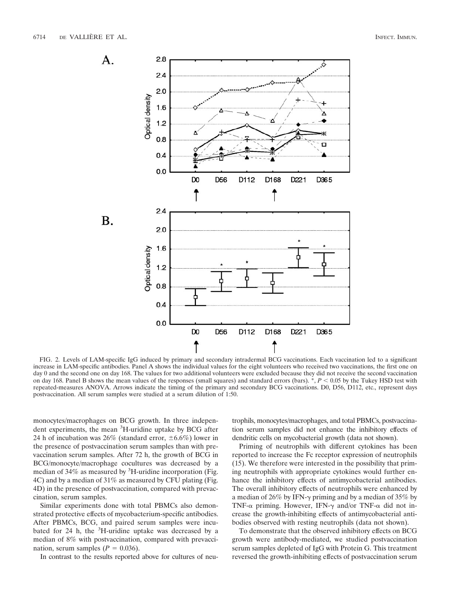

FIG. 2. Levels of LAM-specific IgG induced by primary and secondary intradermal BCG vaccinations. Each vaccination led to a significant increase in LAM-specific antibodies. Panel A shows the individual values for the eight volunteers who received two vaccinations, the first one on day 0 and the second one on day 168. The values for two additional volunteers were excluded because they did not receive the second vaccination on day 168. Panel B shows the mean values of the responses (small squares) and standard errors (bars).  $*$ ,  $P < 0.05$  by the Tukey HSD test with repeated-measures ANOVA. Arrows indicate the timing of the primary and secondary BCG vaccinations. D0, D56, D112, etc., represent days postvaccination. All serum samples were studied at a serum dilution of 1:50.

monocytes/macrophages on BCG growth. In three independent experiments, the mean <sup>3</sup>H-uridine uptake by BCG after 24 h of incubation was  $26\%$  (standard error,  $\pm 6.6\%$ ) lower in the presence of postvaccination serum samples than with prevaccination serum samples. After 72 h, the growth of BCG in BCG/monocyte/macrophage cocultures was decreased by a median of 34% as measured by <sup>3</sup>H-uridine incorporation (Fig. 4C) and by a median of 31% as measured by CFU plating (Fig. 4D) in the presence of postvaccination, compared with prevaccination, serum samples.

Similar experiments done with total PBMCs also demonstrated protective effects of mycobacterium-specific antibodies. After PBMCs, BCG, and paired serum samples were incubated for 24 h, the <sup>3</sup>H-uridine uptake was decreased by a median of 8% with postvaccination, compared with prevaccination, serum samples  $(P = 0.036)$ .

In contrast to the results reported above for cultures of neu-

trophils, monocytes/macrophages, and total PBMCs, postvaccination serum samples did not enhance the inhibitory effects of dendritic cells on mycobacterial growth (data not shown).

Priming of neutrophils with different cytokines has been reported to increase the Fc receptor expression of neutrophils (15). We therefore were interested in the possibility that priming neutrophils with appropriate cytokines would further enhance the inhibitory effects of antimycobacterial antibodies. The overall inhibitory effects of neutrophils were enhanced by a median of 26% by IFN- $\gamma$  priming and by a median of 35% by TNF- $\alpha$  priming. However, IFN- $\gamma$  and/or TNF- $\alpha$  did not increase the growth-inhibiting effects of antimycobacterial antibodies observed with resting neutrophils (data not shown).

To demonstrate that the observed inhibitory effects on BCG growth were antibody-mediated, we studied postvaccination serum samples depleted of IgG with Protein G. This treatment reversed the growth-inhibiting effects of postvaccination serum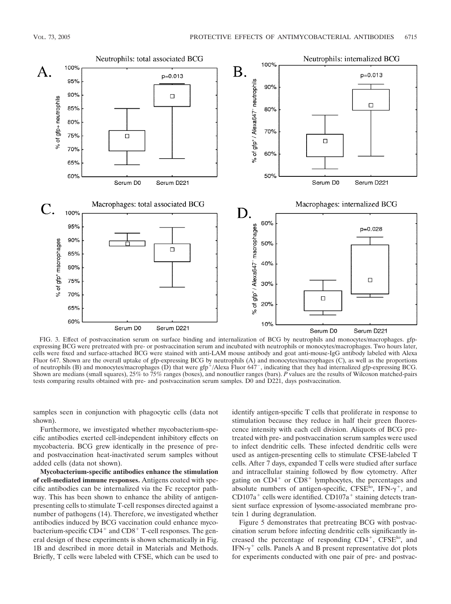

FIG. 3. Effect of postvaccination serum on surface binding and internalization of BCG by neutrophils and monocytes/macrophages. gfpexpressing BCG were pretreated with pre- or postvaccination serum and incubated with neutrophils or monocytes/macrophages. Two hours later, cells were fixed and surface-attached BCG were stained with anti-LAM mouse antibody and goat anti-mouse-IgG antibody labeled with Alexa Fluor 647. Shown are the overall uptake of gfp-expressing BCG by neutrophils (A) and monocytes/macrophages (C), as well as the proportions of neutrophils (B) and monocytes/macrophages (D) that were  $gfp^+/Alexa$  Fluor 647<sup>-</sup>, indicating that they had internalized  $gfp$ -expressing BCG. Shown are medians (small squares), 25% to 75% ranges (boxes), and nonoutlier ranges (bars). *P* values are the results of Wilcoxon matched-pairs tests comparing results obtained with pre- and postvaccination serum samples. D0 and D221, days postvaccination.

samples seen in conjunction with phagocytic cells (data not shown).

Furthermore, we investigated whether mycobacterium-specific antibodies exerted cell-independent inhibitory effects on mycobacteria. BCG grew identically in the presence of preand postvaccination heat-inactivated serum samples without added cells (data not shown).

**Mycobacterium-specific antibodies enhance the stimulation of cell-mediated immune responses.** Antigens coated with specific antibodies can be internalized via the Fc receptor pathway. This has been shown to enhance the ability of antigenpresenting cells to stimulate T-cell responses directed against a number of pathogens (14). Therefore, we investigated whether antibodies induced by BCG vaccination could enhance mycobacterium-specific  $CD4^+$  and  $CD8^+$  T-cell responses. The general design of these experiments is shown schematically in Fig. 1B and described in more detail in Materials and Methods. Briefly, T cells were labeled with CFSE, which can be used to

identify antigen-specific T cells that proliferate in response to stimulation because they reduce in half their green fluorescence intensity with each cell division. Aliquots of BCG pretreated with pre- and postvaccination serum samples were used to infect dendritic cells. These infected dendritic cells were used as antigen-presenting cells to stimulate CFSE-labeled T cells. After 7 days, expanded T cells were studied after surface and intracellular staining followed by flow cytometry. After gating on  $CD4^+$  or  $CD8^+$  lymphocytes, the percentages and absolute numbers of antigen-specific, CFSE<sup>lo</sup>, IFN- $\gamma^+$ , and  $CD107a<sup>+</sup>$  cells were identified.  $CD107a<sup>+</sup>$  staining detects transient surface expression of lysome-associated membrane protein 1 during degranulation.

Figure 5 demonstrates that pretreating BCG with postvaccination serum before infecting dendritic cells significantly increased the percentage of responding  $CD4^+$ ,  $CFSE^{10}$ , and IFN- $\gamma^+$  cells. Panels A and B present representative dot plots for experiments conducted with one pair of pre- and postvac-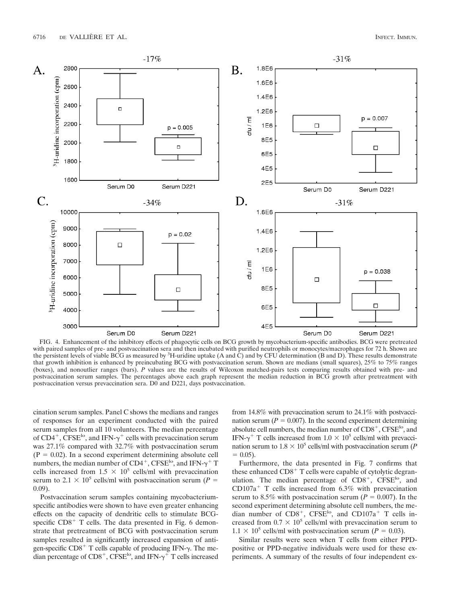

FIG. 4. Enhancement of the inhibitory effects of phagocytic cells on BCG growth by mycobacterium-specific antibodies. BCG were pretreated with paired samples of pre- and postvaccination sera and then incubated with purified neutrophils or monocytes/macrophages for 72 h. Shown are the persistent levels of viable BCG as measured by <sup>3</sup>H-uridine uptake (A and C) and by CFU determination (B and D). These results demonstrate that growth inhibition is enhanced by preincubating BCG with postvaccination serum. Shown are medians (small squares), 25% to 75% ranges (boxes), and nonoutlier ranges (bars). *P* values are the results of Wilcoxon matched-pairs tests comparing results obtained with pre- and postvaccination serum samples. The percentages above each graph represent the median reduction in BCG growth after pretreatment with postvaccination versus prevaccination sera. D0 and D221, days postvaccination.

cination serum samples. Panel C shows the medians and ranges of responses for an experiment conducted with the paired serum samples from all 10 volunteers. The median percentage of  $CD4^+$ , CFSE<sup>lo</sup>, and IFN- $\gamma^+$  cells with prevaccination serum was 27.1% compared with 32.7% with postvaccination serum  $(P = 0.02)$ . In a second experiment determining absolute cell numbers, the median number of  $CD4^+$ , CFSE<sup>1</sup>°, and IFN- $\gamma^+$  T cells increased from  $1.5 \times 10^5$  cells/ml with prevaccination serum to 2.1  $\times$  10<sup>5</sup> cells/ml with postvaccination serum (*P* = 0.09).

Postvaccination serum samples containing mycobacteriumspecific antibodies were shown to have even greater enhancing effects on the capacity of dendritic cells to stimulate BCGspecific  $CD8<sup>+</sup>$  T cells. The data presented in Fig. 6 demonstrate that pretreatment of BCG with postvaccination serum samples resulted in significantly increased expansion of antigen-specific  $CD8<sup>+</sup>$  T cells capable of producing IFN- $\gamma$ . The median percentage of  $CDS^+$ ,  $CFSE^{10}$ , and IFN- $\gamma^+$  T cells increased

from 14.8% with prevaccination serum to 24.1% with postvaccination serum ( $P = 0.007$ ). In the second experiment determining absolute cell numbers, the median number of  $CD8^+$ ,  $CFSE^{10}$ , and IFN- $\gamma^+$  T cells increased from 1.0  $\times$  10<sup>5</sup> cells/ml with prevaccination serum to  $1.8 \times 10^5$  cells/ml with postvaccination serum (*P*  $= 0.05$ .

Furthermore, the data presented in Fig. 7 confirms that these enhanced  $CDS<sup>+</sup> T$  cells were capable of cytolytic degranulation. The median percentage of  $CDS^+$ ,  $CFSE^{10}$ , and CD107a<sup>+</sup> T cells increased from  $6.3\%$  with prevaccination serum to 8.5% with postvaccination serum  $(P = 0.007)$ . In the second experiment determining absolute cell numbers, the median number of  $CDS^+$ ,  $CFSE^{10}$ , and  $CDI07a^+$  T cells increased from  $0.7 \times 10^5$  cells/ml with prevaccination serum to  $1.1 \times 10^5$  cells/ml with postvaccination serum ( $P = 0.03$ ).

Similar results were seen when T cells from either PPDpositive or PPD-negative individuals were used for these experiments. A summary of the results of four independent ex-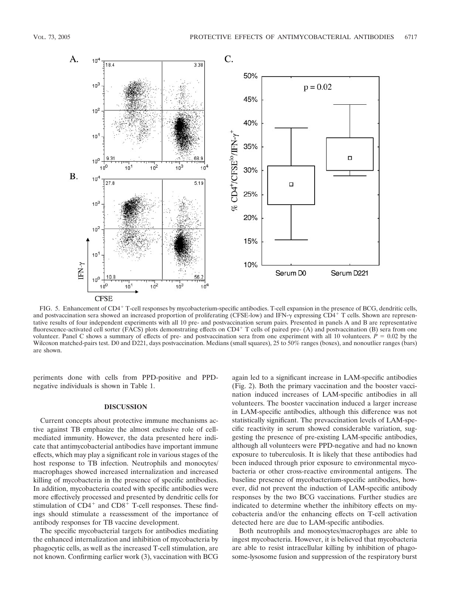

FIG. 5. Enhancement of CD4<sup>+</sup> T-cell responses by mycobacterium-specific antibodies. T-cell expansion in the presence of BCG, dendritic cells, and postvaccination sera showed an increased proportion of proliferating (CFSE-low) and IFN- $\gamma$  expressing CD4<sup>+</sup> T cells. Shown are representative results of four independent experiments with all 10 pre- and postvaccination serum pairs. Presented in panels A and B are representative fluorescence-activated cell sorter (FACS) plots demonstrating effects on CD4+ T cells of paired pre- (A) and postvaccination (B) sera from one volunteer. Panel C shows a summary of effects of pre- and postvaccination sera from one experiment with all 10 volunteers.  $\dot{P} = 0.02$  by the Wilcoxon matched-pairs test. D0 and D221, days postvaccination. Medians (small squares), 25 to 50% ranges (boxes), and nonoutlier ranges (bars) are shown.

periments done with cells from PPD-positive and PPDnegative individuals is shown in Table 1.

# **DISCUSSION**

Current concepts about protective immune mechanisms active against TB emphasize the almost exclusive role of cellmediated immunity. However, the data presented here indicate that antimycobacterial antibodies have important immune effects, which may play a significant role in various stages of the host response to TB infection. Neutrophils and monocytes/ macrophages showed increased internalization and increased killing of mycobacteria in the presence of specific antibodies. In addition, mycobacteria coated with specific antibodies were more effectively processed and presented by dendritic cells for stimulation of  $CD4^+$  and  $CD8^+$  T-cell responses. These findings should stimulate a reassessment of the importance of antibody responses for TB vaccine development.

The specific mycobacterial targets for antibodies mediating the enhanced internalization and inhibition of mycobacteria by phagocytic cells, as well as the increased T-cell stimulation, are not known. Confirming earlier work (3), vaccination with BCG

again led to a significant increase in LAM-specific antibodies (Fig. 2). Both the primary vaccination and the booster vaccination induced increases of LAM-specific antibodies in all volunteers. The booster vaccination induced a larger increase in LAM-specific antibodies, although this difference was not statistically significant. The prevaccination levels of LAM-specific reactivity in serum showed considerable variation, suggesting the presence of pre-existing LAM-specific antibodies, although all volunteers were PPD-negative and had no known exposure to tuberculosis. It is likely that these antibodies had been induced through prior exposure to environmental mycobacteria or other cross-reactive environmental antigens. The baseline presence of mycobacterium-specific antibodies, however, did not prevent the induction of LAM-specific antibody responses by the two BCG vaccinations. Further studies are indicated to determine whether the inhibitory effects on mycobacteria and/or the enhancing effects on T-cell activation detected here are due to LAM-specific antibodies.

Both neutrophils and monocytes/macrophages are able to ingest mycobacteria. However, it is believed that mycobacteria are able to resist intracellular killing by inhibition of phagosome-lysosome fusion and suppression of the respiratory burst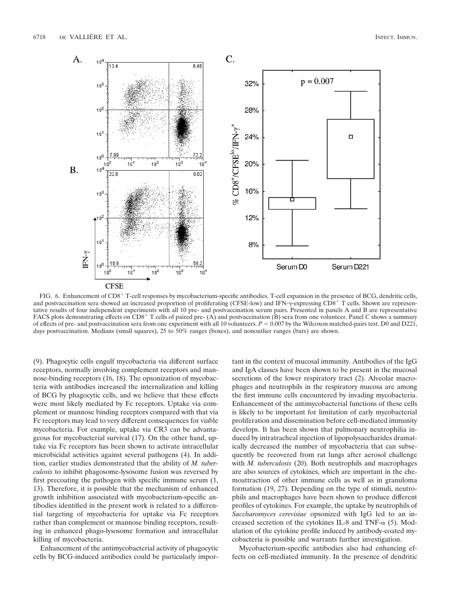

FIG. 6. Enhancement of CD8<sup>+</sup> T-cell responses by mycobacterium-specific antibodies. T-cell expansion in the presence of BCG, dendritic cells, and postvaccination sera showed an increased proportion of proliferating (CFSE-low) and IFN- $\gamma$ -expressing CD8<sup>+</sup> T cells. Shown are representative results of four independent experiments with all 10 pre- and postvaccination serum pairs. Presented in panels A and B are representative FACS plots demonstrating effects on CD8<sup>+</sup> T cells of paired pre- (A) and postvaccination (B) sera from one volunteer. Panel C shows a summary of effects of pre- and postvaccination sera from one experiment with all 10 volunteers.  $P = 0.007$  by the Wilcoxon matched-pairs test. D0 and D221, days postvaccination. Medians (small squares), 25 to 50% ranges (boxes), and nonoutlier ranges (bars) are shown.

(9). Phagocytic cells engulf mycobacteria via different surface receptors, normally involving complement receptors and mannose-binding receptors (16, 18). The opsonization of mycobacteria with antibodies increased the internalization and killing of BCG by phagocytic cells, and we believe that these effects were most likely mediated by Fc receptors. Uptake via complement or mannose binding receptors compared with that via Fc receptors may lead to very different consequences for viable mycobacteria. For example, uptake via CR3 can be advantageous for mycobacterial survival (17). On the other hand, uptake via Fc receptors has been shown to activate intracellular microbicidal activities against several pathogens (4). In addition, earlier studies demonstrated that the ability of *M. tuberculosis* to inhibit phagosome-lysosome fusion was reversed by first precoating the pathogen with specific immune serum (1, 13). Therefore, it is possible that the mechanism of enhanced growth inhibition associated with mycobacterium-specific antibodies identified in the present work is related to a differential targeting of mycobacteria for uptake via Fc receptors rather than complement or mannose binding receptors, resulting in enhanced phago-lysosome formation and intracellular killing of mycobacteria.

Enhancement of the antimycobacterial activity of phagocytic cells by BCG-induced antibodies could be particularly important in the context of mucosal immunity. Antibodies of the IgG and IgA classes have been shown to be present in the mucosal secretions of the lower respiratory tract (2). Alveolar macrophages and neutrophils in the respiratory mucosa are among the first immune cells encountered by invading mycobacteria. Enhancement of the antimycobacterial functions of these cells is likely to be important for limitation of early mycobacterial proliferation and dissemination before cell-mediated immunity develops. It has been shown that pulmonary neutrophilia induced by intratracheal injection of lipopolysaccharides dramatically decreased the number of mycobacteria that can subsequently be recovered from rat lungs after aerosol challenge with *M. tuberculosis* (20). Both neutrophils and macrophages are also sources of cytokines, which are important in the chemoattraction of other immune cells as well as in granuloma formation (19, 27). Depending on the type of stimuli, neutrophils and macrophages have been shown to produce different profiles of cytokines. For example, the uptake by neutrophils of *Saccharomyces cerevisiae* opsonized with IgG led to an increased secretion of the cytokines IL-8 and TNF- $\alpha$  (5). Modulation of the cytokine profile induced by antibody-coated mycobacteria is possible and warrants further investigation.

Mycobacterium-specific antibodies also had enhancing effects on cell-mediated immunity. In the presence of dendritic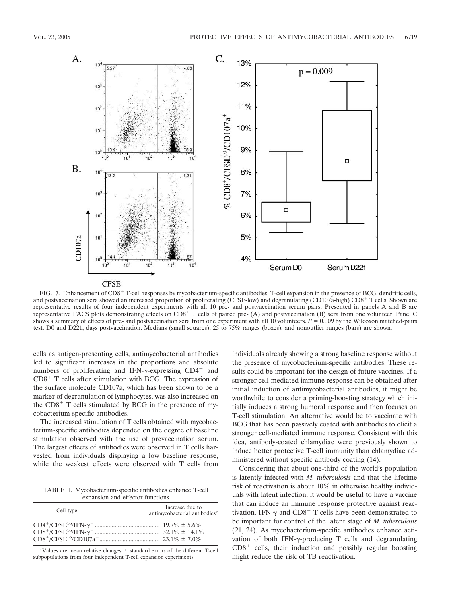

FIG. 7. Enhancement of CD8<sup>+</sup> T-cell responses by mycobacterium-specific antibodies. T-cell expansion in the presence of BCG, dendritic cells, and postvaccination sera showed an increased proportion of proliferating (CFSE-low) and degranulating (CD107a-high) CD8<sup>+</sup> T cells. Shown are representative results of four independent experiments with all 10 pre- and postvaccination serum pairs. Presented in panels A and B are representative FACS plots demonstrating effects on CD8<sup>+</sup> T cells of paired pre- (A) and postvaccination (B) sera from one volunteer. Panel C shows a summary of effects of pre- and postvaccination sera from one experiment with all 10 volunteers.  $P = 0.009$  by the Wilcoxon matched-pairs test. D0 and D221, days postvaccination. Medians (small squares), 25 to 75% ranges (boxes), and nonoutlier ranges (bars) are shown.

cells as antigen-presenting cells, antimycobacterial antibodies led to significant increases in the proportions and absolute numbers of proliferating and IFN- $\gamma$ -expressing CD4<sup>+</sup> and  $CD8<sup>+</sup>$  T cells after stimulation with BCG. The expression of the surface molecule CD107a, which has been shown to be a marker of degranulation of lymphocytes, was also increased on the  $CD8<sup>+</sup>$  T cells stimulated by BCG in the presence of mycobacterium-specific antibodies.

The increased stimulation of T cells obtained with mycobacterium-specific antibodies depended on the degree of baseline stimulation observed with the use of prevaccination serum. The largest effects of antibodies were observed in T cells harvested from individuals displaying a low baseline response, while the weakest effects were observed with T cells from

TABLE 1. Mycobacterium-specific antibodies enhance T-cell expansion and effector functions

| Cell type | Increase due to<br>antimycobacterial antibodies <sup>a</sup> |
|-----------|--------------------------------------------------------------|
|           |                                                              |

 $a$  Values are mean relative changes  $\pm$  standard errors of the different T-cell subpopulations from four independent T-cell expansion experiments.

individuals already showing a strong baseline response without the presence of mycobacterium-specific antibodies. These results could be important for the design of future vaccines. If a stronger cell-mediated immune response can be obtained after initial induction of antimycobacterial antibodies, it might be worthwhile to consider a priming-boosting strategy which initially induces a strong humoral response and then focuses on T-cell stimulation. An alternative would be to vaccinate with BCG that has been passively coated with antibodies to elicit a stronger cell-mediated immune response. Consistent with this idea, antibody-coated chlamydiae were previously shown to induce better protective T-cell immunity than chlamydiae administered without specific antibody coating (14).

Considering that about one-third of the world's population is latently infected with *M. tuberculosis* and that the lifetime risk of reactivation is about 10% in otherwise healthy individuals with latent infection, it would be useful to have a vaccine that can induce an immune response protective against reactivation. IFN- $\gamma$  and CD8<sup>+</sup> T cells have been demonstrated to be important for control of the latent stage of *M. tuberculosis* (21, 24). As mycobacterium-specific antibodies enhance activation of both IFN- $\gamma$ -producing T cells and degranulating  $CD8<sup>+</sup>$  cells, their induction and possibly regular boosting might reduce the risk of TB reactivation.